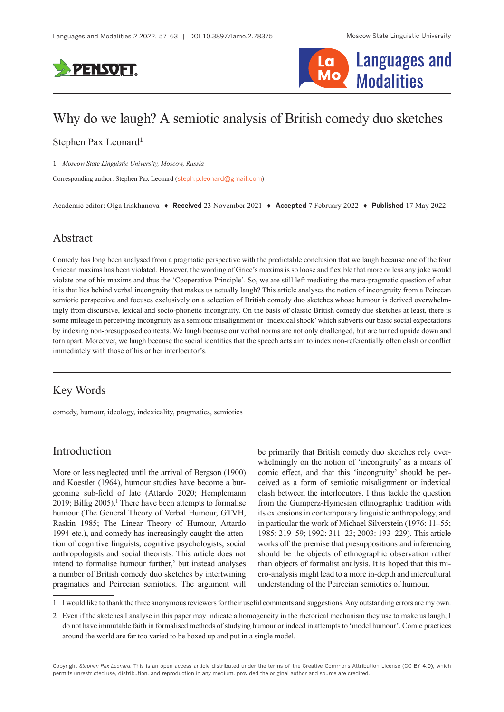



# Why do we laugh? A semiotic analysis of British comedy duo sketches

### Stephen Pax Leonard<sup>1</sup>

1 *Moscow State Linguistic University, Moscow, Russia*

Corresponding author: Stephen Pax Leonard ([steph.p.leonard@gmail.com](mailto:steph.p.leonard@gmail.com))

Academic editor: Olga Iriskhanova ♦ **Received** 23 November 2021 ♦ **Accepted** 7 February 2022 ♦ **Published** 17 May 2022

# Abstract

Comedy has long been analysed from a pragmatic perspective with the predictable conclusion that we laugh because one of the four Gricean maxims has been violated. However, the wording of Grice's maxims is so loose and flexible that more or less any joke would violate one of his maxims and thus the 'Cooperative Principle'. So, we are still left mediating the meta-pragmatic question of what it is that lies behind verbal incongruity that makes us actually laugh? This article analyses the notion of incongruity from a Peircean semiotic perspective and focuses exclusively on a selection of British comedy duo sketches whose humour is derived overwhelmingly from discursive, lexical and socio-phonetic incongruity. On the basis of classic British comedy due sketches at least, there is some mileage in perceiving incongruity as a semiotic misalignment or 'indexical shock' which subverts our basic social expectations by indexing non-presupposed contexts. We laugh because our verbal norms are not only challenged, but are turned upside down and torn apart. Moreover, we laugh because the social identities that the speech acts aim to index non-referentially often clash or conflict immediately with those of his or her interlocutor's.

# Key Words

comedy, humour, ideology, indexicality, pragmatics, semiotics

# Introduction

More or less neglected until the arrival of Bergson (1900) and Koestler (1964), humour studies have become a burgeoning sub-field of late (Attardo 2020; Hemplemann 2019; Billig 2005).<sup>1</sup> There have been attempts to formalise humour (The General Theory of Verbal Humour, GTVH, Raskin 1985; The Linear Theory of Humour, Attardo 1994 etc.), and comedy has increasingly caught the attention of cognitive linguists, cognitive psychologists, social anthropologists and social theorists. This article does not intend to formalise humour further,<sup>2</sup> but instead analyses a number of British comedy duo sketches by intertwining pragmatics and Peirceian semiotics. The argument will

be primarily that British comedy duo sketches rely overwhelmingly on the notion of 'incongruity' as a means of comic effect, and that this 'incongruity' should be perceived as a form of semiotic misalignment or indexical clash between the interlocutors. I thus tackle the question from the Gumperz-Hymesian ethnographic tradition with its extensions in contemporary linguistic anthropology, and in particular the work of Michael Silverstein (1976: 11–55; 1985: 219–59; 1992: 311–23; 2003: 193–229). This article works off the premise that presuppositions and inferencing should be the objects of ethnographic observation rather than objects of formalist analysis. It is hoped that this micro-analysis might lead to a more in-depth and intercultural understanding of the Peirceian semiotics of humour.

Copyright *Stephen Pax Leonard.* This is an open access article distributed under the terms of the [Creative Commons Attribution License \(CC BY 4.0\),](http://creativecommons.org/licenses/by/4.0/) which permits unrestricted use, distribution, and reproduction in any medium, provided the original author and source are credited.

<sup>1</sup> I would like to thank the three anonymous reviewers for their useful comments and suggestions. Any outstanding errors are my own.

<sup>2</sup> Even if the sketches I analyse in this paper may indicate a homogeneity in the rhetorical mechanism they use to make us laugh, I do not have immutable faith in formalised methods of studying humour or indeed in attempts to 'model humour'. Comic practices around the world are far too varied to be boxed up and put in a single model.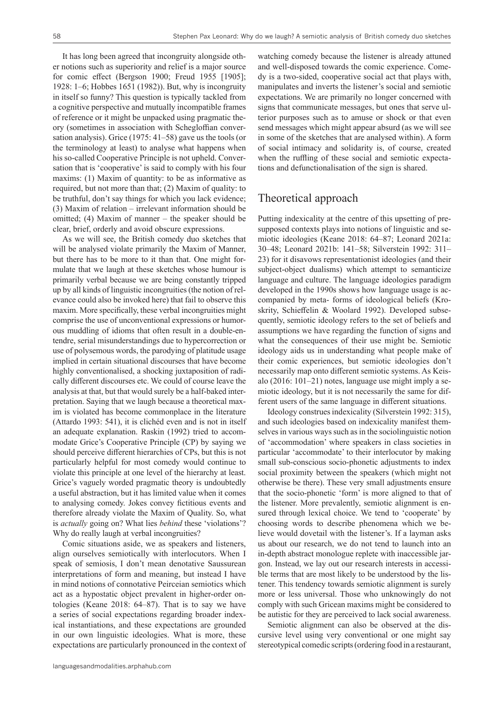It has long been agreed that incongruity alongside other notions such as superiority and relief is a major source for comic effect (Bergson 1900; Freud 1955 [1905]; 1928: 1–6; Hobbes 1651 (1982)). But, why is incongruity in itself so funny? This question is typically tackled from a cognitive perspective and mutually incompatible frames of reference or it might be unpacked using pragmatic theory (sometimes in association with Schegloffian conversation analysis). Grice (1975: 41–58) gave us the tools (or the terminology at least) to analyse what happens when his so-called Cooperative Principle is not upheld. Conversation that is 'cooperative' is said to comply with his four maxims: (1) Maxim of quantity: to be as informative as required, but not more than that; (2) Maxim of quality: to be truthful, don't say things for which you lack evidence; (3) Maxim of relation – irrelevant information should be omitted; (4) Maxim of manner – the speaker should be clear, brief, orderly and avoid obscure expressions.

As we will see, the British comedy duo sketches that will be analysed violate primarily the Maxim of Manner, but there has to be more to it than that. One might formulate that we laugh at these sketches whose humour is primarily verbal because we are being constantly tripped up by all kinds of linguistic incongruities (the notion of relevance could also be invoked here) that fail to observe this maxim. More specifically, these verbal incongruities might comprise the use of unconventional expressions or humorous muddling of idioms that often result in a double-entendre, serial misunderstandings due to hypercorrection or use of polysemous words, the parodying of platitude usage implied in certain situational discourses that have become highly conventionalised, a shocking juxtaposition of radically different discourses etc. We could of course leave the analysis at that, but that would surely be a half-baked interpretation. Saying that we laugh because a theoretical maxim is violated has become commonplace in the literature (Attardo 1993: 541), it is clichéd even and is not in itself an adequate explanation. Raskin (1992) tried to accommodate Grice's Cooperative Principle (CP) by saying we should perceive different hierarchies of CPs, but this is not particularly helpful for most comedy would continue to violate this principle at one level of the hierarchy at least. Grice's vaguely worded pragmatic theory is undoubtedly a useful abstraction, but it has limited value when it comes to analysing comedy. Jokes convey fictitious events and therefore already violate the Maxim of Quality. So, what is *actually* going on? What lies *behind* these 'violations'? Why do really laugh at verbal incongruities?

Comic situations aside, we as speakers and listeners, align ourselves semiotically with interlocutors. When I speak of semiosis, I don't mean denotative Saussurean interpretations of form and meaning, but instead I have in mind notions of connotative Peirceian semiotics which act as a hypostatic object prevalent in higher-order ontologies (Keane 2018: 64–87). That is to say we have a series of social expectations regarding broader indexical instantiations, and these expectations are grounded in our own linguistic ideologies. What is more, these expectations are particularly pronounced in the context of

languagesandmodalities.arphahub.com

watching comedy because the listener is already attuned and well-disposed towards the comic experience. Comedy is a two-sided, cooperative social act that plays with, manipulates and inverts the listener's social and semiotic expectations. We are primarily no longer concerned with signs that communicate messages, but ones that serve ulterior purposes such as to amuse or shock or that even send messages which might appear absurd (as we will see in some of the sketches that are analysed within). A form of social intimacy and solidarity is, of course, created when the ruffling of these social and semiotic expectations and defunctionalisation of the sign is shared.

# Theoretical approach

Putting indexicality at the centre of this upsetting of presupposed contexts plays into notions of linguistic and semiotic ideologies (Keane 2018: 64–87; Leonard 2021a: 30–48; Leonard 2021b: 141–58; Silverstein 1992: 311– 23) for it disavows representationist ideologies (and their subject-object dualisms) which attempt to semanticize language and culture. The language ideologies paradigm developed in the 1990s shows how language usage is accompanied by meta- forms of ideological beliefs (Kroskrity, Schieffelin & Woolard 1992). Developed subsequently, semiotic ideology refers to the set of beliefs and assumptions we have regarding the function of signs and what the consequences of their use might be. Semiotic ideology aids us in understanding what people make of their comic experiences, but semiotic ideologies don't necessarily map onto different semiotic systems. As Keisalo (2016: 101–21) notes, language use might imply a semiotic ideology, but it is not necessarily the same for different users of the same language in different situations.

Ideology construes indexicality (Silverstein 1992: 315), and such ideologies based on indexicality manifest themselves in various ways such as in the sociolinguistic notion of 'accommodation' where speakers in class societies in particular 'accommodate' to their interlocutor by making small sub-conscious socio-phonetic adjustments to index social proximity between the speakers (which might not otherwise be there). These very small adjustments ensure that the socio-phonetic 'form' is more aligned to that of the listener. More prevalently, semiotic alignment is ensured through lexical choice. We tend to 'cooperate' by choosing words to describe phenomena which we believe would dovetail with the listener's. If a layman asks us about our research, we do not tend to launch into an in-depth abstract monologue replete with inaccessible jargon. Instead, we lay out our research interests in accessible terms that are most likely to be understood by the listener. This tendency towards semiotic alignment is surely more or less universal. Those who unknowingly do not comply with such Gricean maxims might be considered to be autistic for they are perceived to lack social awareness.

Semiotic alignment can also be observed at the discursive level using very conventional or one might say stereotypical comedic scripts (ordering food in a restaurant,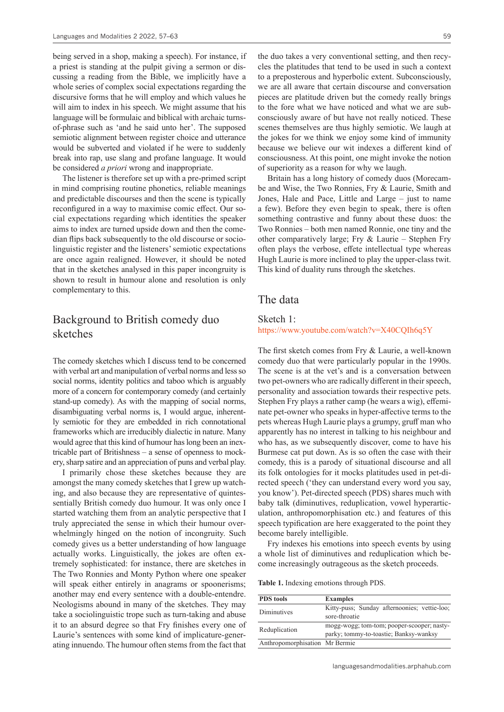being served in a shop, making a speech). For instance, if a priest is standing at the pulpit giving a sermon or discussing a reading from the Bible, we implicitly have a whole series of complex social expectations regarding the discursive forms that he will employ and which values he will aim to index in his speech. We might assume that his language will be formulaic and biblical with archaic turnsof-phrase such as 'and he said unto her'. The supposed semiotic alignment between register choice and utterance would be subverted and violated if he were to suddenly break into rap, use slang and profane language. It would be considered *a priori* wrong and inappropriate.

The listener is therefore set up with a pre-primed script in mind comprising routine phonetics, reliable meanings and predictable discourses and then the scene is typically reconfigured in a way to maximise comic effect. Our social expectations regarding which identities the speaker aims to index are turned upside down and then the comedian flips back subsequently to the old discourse or sociolinguistic register and the listeners' semiotic expectations are once again realigned. However, it should be noted that in the sketches analysed in this paper incongruity is shown to result in humour alone and resolution is only complementary to this.

# Background to British comedy duo sketches

The comedy sketches which I discuss tend to be concerned with verbal art and manipulation of verbal norms and less so social norms, identity politics and taboo which is arguably more of a concern for contemporary comedy (and certainly stand-up comedy). As with the mapping of social norms, disambiguating verbal norms is, I would argue, inherently semiotic for they are embedded in rich connotational frameworks which are irreducibly dialectic in nature. Many would agree that this kind of humour has long been an inextricable part of Britishness – a sense of openness to mockery, sharp satire and an appreciation of puns and verbal play.

I primarily chose these sketches because they are amongst the many comedy sketches that I grew up watching, and also because they are representative of quintessentially British comedy duo humour. It was only once I started watching them from an analytic perspective that I truly appreciated the sense in which their humour overwhelmingly hinged on the notion of incongruity. Such comedy gives us a better understanding of how language actually works. Linguistically, the jokes are often extremely sophisticated: for instance, there are sketches in The Two Ronnies and Monty Python where one speaker will speak either entirely in anagrams or spoonerisms; another may end every sentence with a double-entendre. Neologisms abound in many of the sketches. They may take a sociolinguistic trope such as turn-taking and abuse it to an absurd degree so that Fry finishes every one of Laurie's sentences with some kind of implicature-generating innuendo. The humour often stems from the fact that

the duo takes a very conventional setting, and then recycles the platitudes that tend to be used in such a context to a preposterous and hyperbolic extent. Subconsciously, we are all aware that certain discourse and conversation pieces are platitude driven but the comedy really brings to the fore what we have noticed and what we are subconsciously aware of but have not really noticed. These scenes themselves are thus highly semiotic. We laugh at the jokes for we think we enjoy some kind of immunity because we believe our wit indexes a different kind of consciousness. At this point, one might invoke the notion of superiority as a reason for why we laugh.

Britain has a long history of comedy duos (Morecambe and Wise, the Two Ronnies, Fry & Laurie, Smith and Jones, Hale and Pace, Little and Large – just to name a few). Before they even begin to speak, there is often something contrastive and funny about these duos: the Two Ronnies – both men named Ronnie, one tiny and the other comparatively large; Fry & Laurie – Stephen Fry often plays the verbose, effete intellectual type whereas Hugh Laurie is more inclined to play the upper-class twit. This kind of duality runs through the sketches.

### The data

### Sketch 1:

<https://www.youtube.com/watch?v=X40CQIh6q5Y>

The first sketch comes from Fry & Laurie, a well-known comedy duo that were particularly popular in the 1990s. The scene is at the vet's and is a conversation between two pet-owners who are radically different in their speech, personality and association towards their respective pets. Stephen Fry plays a rather camp (he wears a wig), effeminate pet-owner who speaks in hyper-affective terms to the pets whereas Hugh Laurie plays a grumpy, gruff man who apparently has no interest in talking to his neighbour and who has, as we subsequently discover, come to have his Burmese cat put down. As is so often the case with their comedy, this is a parody of situational discourse and all its folk ontologies for it mocks platitudes used in pet-directed speech ('they can understand every word you say, you know'). Pet-directed speech (PDS) shares much with baby talk (diminutives, reduplication, vowel hyperarticulation, anthropomorphisation etc.) and features of this speech typification are here exaggerated to the point they become barely intelligible.

Fry indexes his emotions into speech events by using a whole list of diminutives and reduplication which become increasingly outrageous as the sketch proceeds.

**Table 1.** Indexing emotions through PDS.

| <b>PDS</b> tools               | <b>Examples</b>                                                                      |
|--------------------------------|--------------------------------------------------------------------------------------|
| Diminutives                    | Kitty-puss; Sunday afternoonies; vettie-loo;<br>sore-throatie                        |
| Reduplication                  | mogg-wogg; tom-tom; pooper-scooper; nasty-<br>parky; tommy-to-toastie; Banksy-wanksy |
| Anthropomorphisation Mr Bermie |                                                                                      |
|                                |                                                                                      |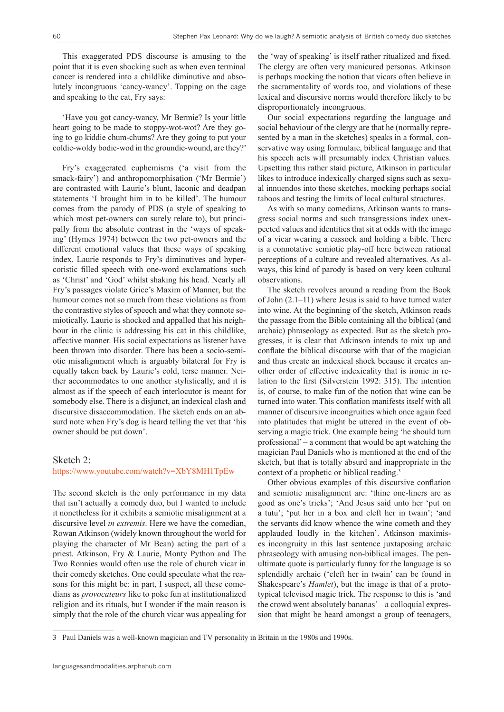This exaggerated PDS discourse is amusing to the point that it is even shocking such as when even terminal cancer is rendered into a childlike diminutive and absolutely incongruous 'cancy-wancy'. Tapping on the cage and speaking to the cat, Fry says:

'Have you got cancy-wancy, Mr Bermie? Is your little heart going to be made to stoppy-wot-wot? Are they going to go kiddie chum-chums? Are they going to put your coldie-woldy bodie-wod in the groundie-wound, are they?'

Fry's exaggerated euphemisms ('a visit from the smack-fairy') and anthropomorphisation ('Mr Bermie') are contrasted with Laurie's blunt, laconic and deadpan statements 'I brought him in to be killed'. The humour comes from the parody of PDS (a style of speaking to which most pet-owners can surely relate to), but principally from the absolute contrast in the 'ways of speaking' (Hymes 1974) between the two pet-owners and the different emotional values that these ways of speaking index. Laurie responds to Fry's diminutives and hypercoristic filled speech with one-word exclamations such as 'Christ' and 'God' whilst shaking his head. Nearly all Fry's passages violate Grice's Maxim of Manner, but the humour comes not so much from these violations as from the contrastive styles of speech and what they connote semiotically. Laurie is shocked and appalled that his neighbour in the clinic is addressing his cat in this childlike, affective manner. His social expectations as listener have been thrown into disorder. There has been a socio-semiotic misalignment which is arguably bilateral for Fry is equally taken back by Laurie's cold, terse manner. Neither accommodates to one another stylistically, and it is almost as if the speech of each interlocutor is meant for somebody else. There is a disjunct, an indexical clash and discursive disaccommodation. The sketch ends on an absurd note when Fry's dog is heard telling the vet that 'his owner should be put down'.

### Sketch 2:

### <https://www.youtube.com/watch?v=XbY8MH1TpEw>

The second sketch is the only performance in my data that isn't actually a comedy duo, but I wanted to include it nonetheless for it exhibits a semiotic misalignment at a discursive level *in extremis*. Here we have the comedian, Rowan Atkinson (widely known throughout the world for playing the character of Mr Bean) acting the part of a priest. Atkinson, Fry & Laurie, Monty Python and The Two Ronnies would often use the role of church vicar in their comedy sketches. One could speculate what the reasons for this might be: in part, I suspect, all these comedians as *provocateurs* like to poke fun at institutionalized religion and its rituals, but I wonder if the main reason is simply that the role of the church vicar was appealing for

the 'way of speaking' is itself rather ritualized and fixed. The clergy are often very manicured personas. Atkinson is perhaps mocking the notion that vicars often believe in the sacramentality of words too, and violations of these lexical and discursive norms would therefore likely to be disproportionately incongruous.

Our social expectations regarding the language and social behaviour of the clergy are that he (normally represented by a man in the sketches) speaks in a formal, conservative way using formulaic, biblical language and that his speech acts will presumably index Christian values. Upsetting this rather staid picture, Atkinson in particular likes to introduce indexically charged signs such as sexual innuendos into these sketches, mocking perhaps social taboos and testing the limits of local cultural structures.

As with so many comedians, Atkinson wants to transgress social norms and such transgressions index unexpected values and identities that sit at odds with the image of a vicar wearing a cassock and holding a bible. There is a connotative semiotic play-off here between rational perceptions of a culture and revealed alternatives. As always, this kind of parody is based on very keen cultural observations.

The sketch revolves around a reading from the Book of John (2.1–11) where Jesus is said to have turned water into wine. At the beginning of the sketch, Atkinson reads the passage from the Bible containing all the biblical (and archaic) phraseology as expected. But as the sketch progresses, it is clear that Atkinson intends to mix up and conflate the biblical discourse with that of the magician and thus create an indexical shock because it creates another order of effective indexicality that is ironic in relation to the first (Silverstein 1992: 315). The intention is, of course, to make fun of the notion that wine can be turned into water. This conflation manifests itself with all manner of discursive incongruities which once again feed into platitudes that might be uttered in the event of observing a magic trick. One example being 'he should turn professional' – a comment that would be apt watching the magician Paul Daniels who is mentioned at the end of the sketch, but that is totally absurd and inappropriate in the context of a prophetic or biblical reading.<sup>3</sup>

Other obvious examples of this discursive conflation and semiotic misalignment are: 'thine one-liners are as good as one's tricks'; 'And Jesus said unto her 'put on a tutu'; 'put her in a box and cleft her in twain'; 'and the servants did know whence the wine cometh and they applauded loudly in the kitchen'. Atkinson maximises incongruity in this last sentence juxtaposing archaic phraseology with amusing non-biblical images. The penultimate quote is particularly funny for the language is so splendidly archaic ('cleft her in twain' can be found in Shakespeare's *Hamlet*), but the image is that of a prototypical televised magic trick. The response to this is 'and the crowd went absolutely bananas' – a colloquial expression that might be heard amongst a group of teenagers,

<sup>3</sup> Paul Daniels was a well-known magician and TV personality in Britain in the 1980s and 1990s.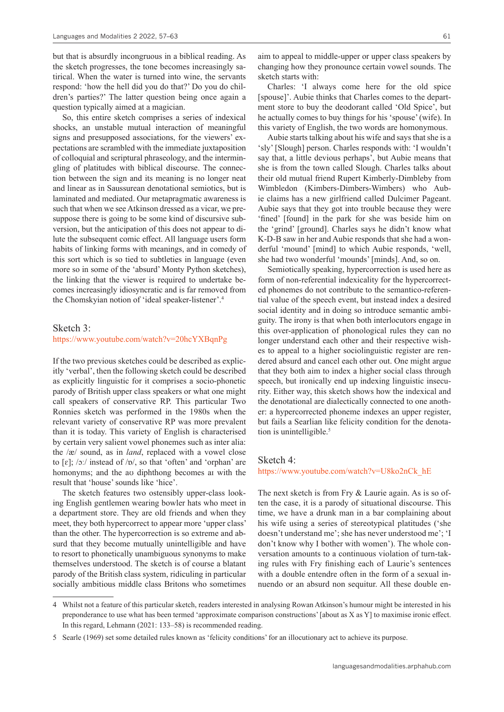but that is absurdly incongruous in a biblical reading. As the sketch progresses, the tone becomes increasingly satirical. When the water is turned into wine, the servants respond: 'how the hell did you do that?' Do you do children's parties?' The latter question being once again a question typically aimed at a magician.

So, this entire sketch comprises a series of indexical shocks, an unstable mutual interaction of meaningful signs and presupposed associations, for the viewers' expectations are scrambled with the immediate juxtaposition of colloquial and scriptural phraseology, and the intermingling of platitudes with biblical discourse. The connection between the sign and its meaning is no longer neat and linear as in Saussurean denotational semiotics, but is laminated and mediated. Our metapragmatic awareness is such that when we see Atkinson dressed as a vicar, we presuppose there is going to be some kind of discursive subversion, but the anticipation of this does not appear to dilute the subsequent comic effect. All language users form habits of linking forms with meanings, and in comedy of this sort which is so tied to subtleties in language (even more so in some of the 'absurd' Monty Python sketches), the linking that the viewer is required to undertake becomes increasingly idiosyncratic and is far removed from the Chomskyian notion of 'ideal speaker-listener'.4

#### Sketch 3:

<https://www.youtube.com/watch?v=20hcYXBqnPg>

If the two previous sketches could be described as explicitly 'verbal', then the following sketch could be described as explicitly linguistic for it comprises a socio-phonetic parody of British upper class speakers or what one might call speakers of conservative RP. This particular Two Ronnies sketch was performed in the 1980s when the relevant variety of conservative RP was more prevalent than it is today. This variety of English is characterised by certain very salient vowel phonemes such as inter alia: the /æ/ sound, as in *land*, replaced with a vowel close to  $\lceil \varepsilon \rceil$ ; /ɔː/ instead of /ɒ/, so that 'often' and 'orphan' are homonyms; and the aʊ diphthong becomes aɪ with the result that 'house' sounds like 'hice'.

The sketch features two ostensibly upper-class looking English gentlemen wearing bowler hats who meet in a department store. They are old friends and when they meet, they both hypercorrect to appear more 'upper class' than the other. The hypercorrection is so extreme and absurd that they become mutually unintelligible and have to resort to phonetically unambiguous synonyms to make themselves understood. The sketch is of course a blatant parody of the British class system, ridiculing in particular socially ambitious middle class Britons who sometimes aim to appeal to middle-upper or upper class speakers by changing how they pronounce certain vowel sounds. The sketch starts with:

Charles: 'I always come here for the old spice [spouse]'. Aubie thinks that Charles comes to the department store to buy the deodorant called 'Old Spice', but he actually comes to buy things for his 'spouse' (wife). In this variety of English, the two words are homonymous.

Aubie starts talking about his wife and says that she is a 'sly' [Slough] person. Charles responds with: 'I wouldn't say that, a little devious perhaps', but Aubie means that she is from the town called Slough. Charles talks about their old mutual friend Rupert Kimberly-Dimbleby from Wimbledon (Kimbers-Dimbers-Wimbers) who Aubie claims has a new girlfriend called Dulcimer Pageant. Aubie says that they got into trouble because they were 'fined' [found] in the park for she was beside him on the 'grind' [ground]. Charles says he didn't know what K-D-B saw in her and Aubie responds that she had a wonderful 'mound' [mind] to which Aubie responds, 'well, she had two wonderful 'mounds' [minds]. And, so on.

Semiotically speaking, hypercorrection is used here as form of non-referential indexicality for the hypercorrected phonemes do not contribute to the semantico-referential value of the speech event, but instead index a desired social identity and in doing so introduce semantic ambiguity. The irony is that when both interlocutors engage in this over-application of phonological rules they can no longer understand each other and their respective wishes to appeal to a higher sociolinguistic register are rendered absurd and cancel each other out. One might argue that they both aim to index a higher social class through speech, but ironically end up indexing linguistic insecurity. Either way, this sketch shows how the indexical and the denotational are dialectically connected to one another: a hypercorrected phoneme indexes an upper register, but fails a Searlian like felicity condition for the denotation is unintelligible.<sup>5</sup>

### Sketch 4:

[https://www.youtube.com/watch?v=U8ko2nCk\\_hE](https://www.youtube.com/watch?v=U8ko2nCk_hE)

The next sketch is from Fry & Laurie again. As is so often the case, it is a parody of situational discourse. This time, we have a drunk man in a bar complaining about his wife using a series of stereotypical platitudes ('she doesn't understand me'; she has never understood me'; 'I don't know why I bother with women'). The whole conversation amounts to a continuous violation of turn-taking rules with Fry finishing each of Laurie's sentences with a double entendre often in the form of a sexual innuendo or an absurd non sequitur. All these double en-

<sup>4</sup> Whilst not a feature of this particular sketch, readers interested in analysing Rowan Atkinson's humour might be interested in his preponderance to use what has been termed 'approximate comparison constructions' [about as X as Y] to maximise ironic effect. In this regard, Lehmann (2021: 133–58) is recommended reading.

<sup>5</sup> Searle (1969) set some detailed rules known as 'felicity conditions' for an illocutionary act to achieve its purpose.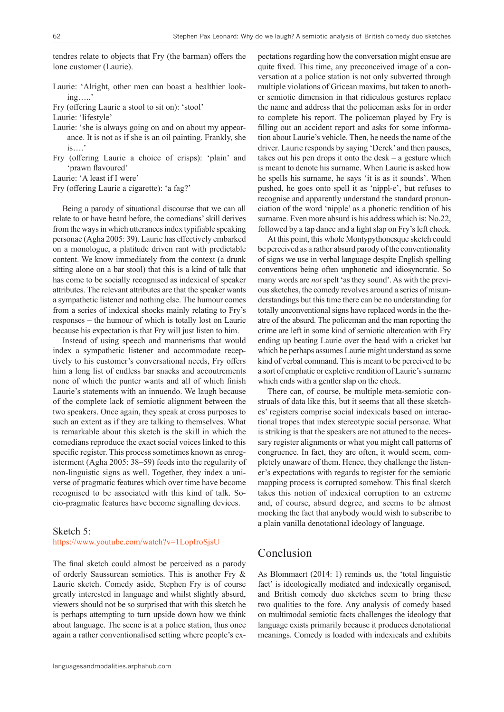tendres relate to objects that Fry (the barman) offers the lone customer (Laurie).

- Laurie: 'Alright, other men can boast a healthier looking…..'
- Fry (offering Laurie a stool to sit on): 'stool'

Laurie: 'lifestyle'

- Laurie: 'she is always going on and on about my appearance. It is not as if she is an oil painting. Frankly, she is….'
- Fry (offering Laurie a choice of crisps): 'plain' and 'prawn flavoured'

Laurie: 'A least if I were'

Fry (offering Laurie a cigarette): 'a fag?'

Being a parody of situational discourse that we can all relate to or have heard before, the comedians' skill derives from the ways in which utterances index typifiable speaking personae (Agha 2005: 39). Laurie has effectively embarked on a monologue, a platitude driven rant with predictable content. We know immediately from the context (a drunk sitting alone on a bar stool) that this is a kind of talk that has come to be socially recognised as indexical of speaker attributes. The relevant attributes are that the speaker wants a sympathetic listener and nothing else. The humour comes from a series of indexical shocks mainly relating to Fry's responses – the humour of which is totally lost on Laurie because his expectation is that Fry will just listen to him.

Instead of using speech and mannerisms that would index a sympathetic listener and accommodate receptively to his customer's conversational needs, Fry offers him a long list of endless bar snacks and accoutrements none of which the punter wants and all of which finish Laurie's statements with an innuendo. We laugh because of the complete lack of semiotic alignment between the two speakers. Once again, they speak at cross purposes to such an extent as if they are talking to themselves. What is remarkable about this sketch is the skill in which the comedians reproduce the exact social voices linked to this specific register. This process sometimes known as enregisterment (Agha 2005: 38–59) feeds into the regularity of non-linguistic signs as well. Together, they index a universe of pragmatic features which over time have become recognised to be associated with this kind of talk. Socio-pragmatic features have become signalling devices.

#### Sketch 5:

#### <https://www.youtube.com/watch?v=1LopIroSjsU>

The final sketch could almost be perceived as a parody of orderly Saussurean semiotics. This is another Fry & Laurie sketch. Comedy aside, Stephen Fry is of course greatly interested in language and whilst slightly absurd, viewers should not be so surprised that with this sketch he is perhaps attempting to turn upside down how we think about language. The scene is at a police station, thus once again a rather conventionalised setting where people's ex-

pectations regarding how the conversation might ensue are quite fixed. This time, any preconceived image of a conversation at a police station is not only subverted through multiple violations of Gricean maxims, but taken to another semiotic dimension in that ridiculous gestures replace the name and address that the policeman asks for in order to complete his report. The policeman played by Fry is filling out an accident report and asks for some information about Laurie's vehicle. Then, he needs the name of the driver. Laurie responds by saying 'Derek' and then pauses, takes out his pen drops it onto the desk – a gesture which is meant to denote his surname. When Laurie is asked how he spells his surname, he says 'it is as it sounds'. When pushed, he goes onto spell it as 'nippl-e', but refuses to recognise and apparently understand the standard pronunciation of the word 'nipple' as a phonetic rendition of his surname. Even more absurd is his address which is: No.22, followed by a tap dance and a light slap on Fry's left cheek.

At this point, this whole Montypythonesque sketch could be perceived as a rather absurd parody of the conventionality of signs we use in verbal language despite English spelling conventions being often unphonetic and idiosyncratic. So many words are *not* spelt 'as they sound'. As with the previous sketches, the comedy revolves around a series of misunderstandings but this time there can be no understanding for totally unconventional signs have replaced words in the theatre of the absurd. The policeman and the man reporting the crime are left in some kind of semiotic altercation with Fry ending up beating Laurie over the head with a cricket bat which he perhaps assumes Laurie might understand as some kind of verbal command. This is meant to be perceived to be a sort of emphatic or expletive rendition of Laurie's surname which ends with a gentler slap on the cheek.

There can, of course, be multiple meta-semiotic construals of data like this, but it seems that all these sketches' registers comprise social indexicals based on interactional tropes that index stereotypic social personae. What is striking is that the speakers are not attuned to the necessary register alignments or what you might call patterns of congruence. In fact, they are often, it would seem, completely unaware of them. Hence, they challenge the listener's expectations with regards to register for the semiotic mapping process is corrupted somehow. This final sketch takes this notion of indexical corruption to an extreme and, of course, absurd degree, and seems to be almost mocking the fact that anybody would wish to subscribe to a plain vanilla denotational ideology of language.

# Conclusion

As Blommaert (2014: 1) reminds us, the 'total linguistic fact' is ideologically mediated and indexically organised, and British comedy duo sketches seem to bring these two qualities to the fore. Any analysis of comedy based on multimodal semiotic facts challenges the ideology that language exists primarily because it produces denotational meanings. Comedy is loaded with indexicals and exhibits